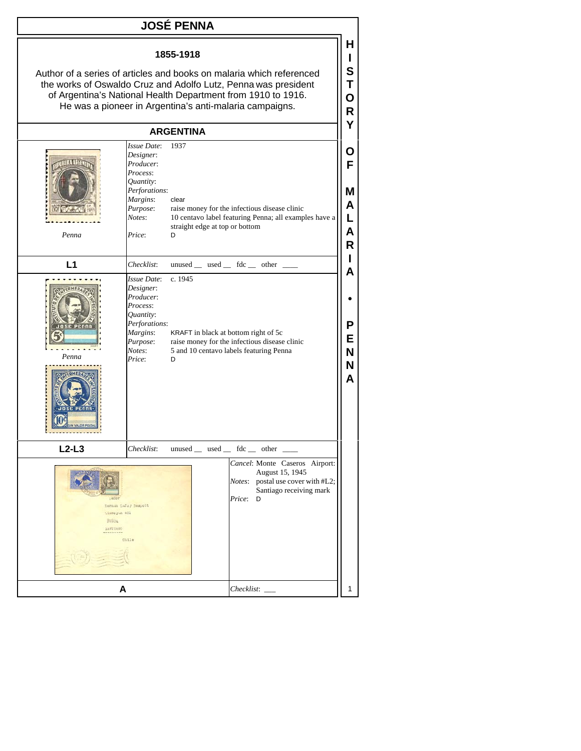## **JOSÉ PENNA 1855-1918** Author of a series of articles and books on malaria which referenced the works of Oswaldo Cruz and Adolfo Lutz, Penna was president of Argentina's National Health Department from 1910 to 1916. He was a pioneer in Argentina's anti-malaria campaigns. **ARGENTINA** *Issue Date*: 1937 *Designer*: *Producer*: *Process*: *Quantity*: *Perforations*: *Margins*: clear *Purpose*: raise money for the infectious disease clinic straight edge at top or bottom *Price*: D  $L1$  *Checklist*: unused used fdc \_\_\_\_\_ other *Issue Date*: c. 1945 *Designer*: *Producer*: *Process*: *Quantity*: *Perforations*: *Margins*: KRAFT in black at bottom right of 5c *Price*: D

**H I S T O R Y**

**O F**

**M A**

*Notes*: 10 centavo label featuring Penna; all examples have a **L A** *Penna* **R I A • P E** *Purpose*: raise money for the infectious disease clinic *Notes*: 5 and 10 centavo labels featuring Penna **N** *Penna* **N A**  $L2-L3$  *Checklist*: unused used fdc other *Cancel*: Monte Caseros Airport: August 15, 1945 *Notes*: postal use cover with #L2; Santiago receiving mark *Price*: D Hernan Lafoy Despott Lineo yun 481 **BUSOA** SANTIAGO  $cn11e$ **A** *Checklist*: \_\_\_ 1